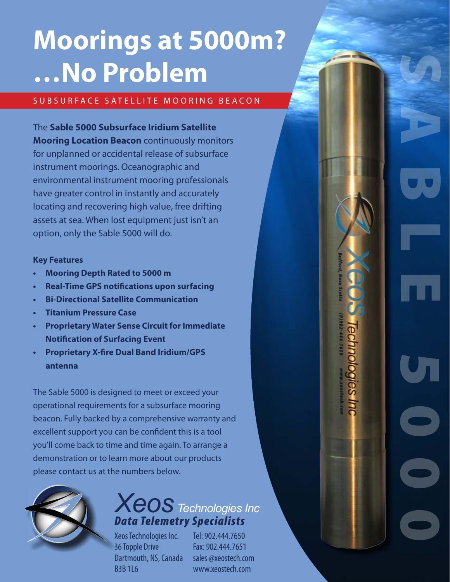# **Moorings at 5000m? …No Problem**

#### SUB SURFACE SATELLITE MOORING BEACON

The **Sable 5000 Subsurface Iridium Satellite Mooring Location Beacon** continuously monitors for unplanned or accidental release of subsurface instrument moorings. Oceanographic and environmental instrument mooring professionals have greater control in instantly and accurately locating and recovering high value, free drifting assets at sea. When lost equipment just isn't an option, only the Sable 5000 will do.

#### **Key Features**

- **• Mooring Depth Rated to 5000 m**
- **• Real-Time GPS notifications upon surfacing**
- **• Bi-Directional Satellite Communication**
- **Fitanium Pressure Case**
- **• Proprietary Water Sense Circuit for Immediate Notification of Surfacing Event**
- **• Proprietary X-fire Dual Band Iridium/GPS antenna**

The Sable 5000 is designed to meet or exceed your operational requirements for a subsurface mooring beacon. Fully backed by a comprehensive warranty and excellent support you can be confident this is a tool you'll come back to time and time again. To arrange a demonstration or to learn more about our products please contact us at the numbers below.



### *Xeos Technologies Inc Data Telemetry Specialists*

Xeos Technologies Inc. 36 Topple Drive Dartmouth, NS, Canada B3B 1L6

Tel: 902.444.7650 Fax: 902.444.7651 sales @xeostech.com www.xeostech.com

Sable 5000

**Technologies**